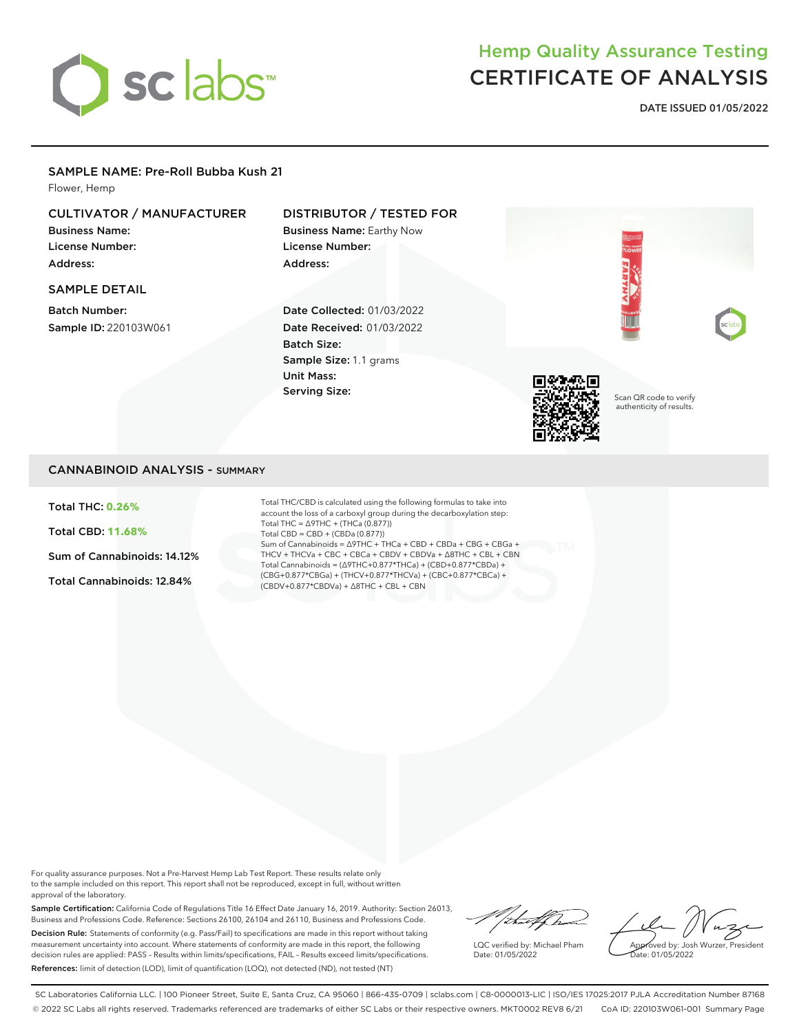

# Hemp Quality Assurance Testing CERTIFICATE OF ANALYSIS

**DATE ISSUED 01/05/2022**

#### SAMPLE NAME: Pre-Roll Bubba Kush 21

Flower, Hemp

# CULTIVATOR / MANUFACTURER

Business Name: License Number: Address:

#### SAMPLE DETAIL

Batch Number: Sample ID: 220103W061

# DISTRIBUTOR / TESTED FOR

Business Name: Earthy Now License Number: Address:

Date Collected: 01/03/2022 Date Received: 01/03/2022 Batch Size: Sample Size: 1.1 grams Unit Mass: Serving Size:



Scan QR code to verify authenticity of results.

## CANNABINOID ANALYSIS - SUMMARY

Total THC: **0.26%**

Total CBD: **11.68%**

Sum of Cannabinoids: 14.12%

Total Cannabinoids: 12.84%

Total THC/CBD is calculated using the following formulas to take into account the loss of a carboxyl group during the decarboxylation step: Total THC = ∆9THC + (THCa (0.877)) Total CBD = CBD + (CBDa (0.877)) Sum of Cannabinoids = ∆9THC + THCa + CBD + CBDa + CBG + CBGa + THCV + THCVa + CBC + CBCa + CBDV + CBDVa + ∆8THC + CBL + CBN Total Cannabinoids = (∆9THC+0.877\*THCa) + (CBD+0.877\*CBDa) + (CBG+0.877\*CBGa) + (THCV+0.877\*THCVa) + (CBC+0.877\*CBCa) + (CBDV+0.877\*CBDVa) + ∆8THC + CBL + CBN

For quality assurance purposes. Not a Pre-Harvest Hemp Lab Test Report. These results relate only to the sample included on this report. This report shall not be reproduced, except in full, without written approval of the laboratory.

Sample Certification: California Code of Regulations Title 16 Effect Date January 16, 2019. Authority: Section 26013, Business and Professions Code. Reference: Sections 26100, 26104 and 26110, Business and Professions Code. Decision Rule: Statements of conformity (e.g. Pass/Fail) to specifications are made in this report without taking measurement uncertainty into account. Where statements of conformity are made in this report, the following decision rules are applied: PASS – Results within limits/specifications, FAIL – Results exceed limits/specifications. References: limit of detection (LOD), limit of quantification (LOQ), not detected (ND), not tested (NT)

Vituelfra

LQC verified by: Michael Pham Date: 01/05/2022

Approved by: Josh Wurzer, President Date: 01/05/2022

SC Laboratories California LLC. | 100 Pioneer Street, Suite E, Santa Cruz, CA 95060 | 866-435-0709 | sclabs.com | C8-0000013-LIC | ISO/IES 17025:2017 PJLA Accreditation Number 87168 © 2022 SC Labs all rights reserved. Trademarks referenced are trademarks of either SC Labs or their respective owners. MKT0002 REV8 6/21 CoA ID: 220103W061-001 Summary Page